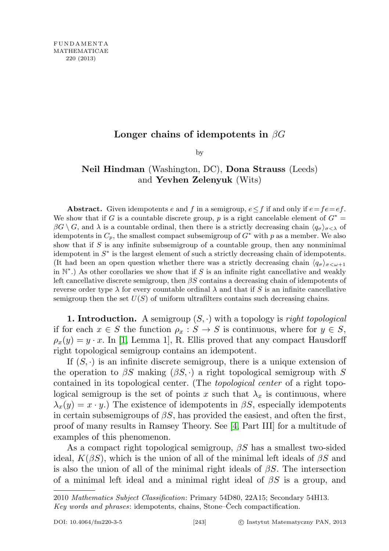## Longer chains of idempotents in  $\beta G$

by

## Neil Hindman (Washington, DC), Dona Strauss (Leeds) and Yevhen Zelenyuk (Wits)

Abstract. Given idempotents e and f in a semigroup,  $e \leq f$  if and only if  $e = fe = ef$ . We show that if G is a countable discrete group, p is a right cancelable element of  $G^*$  $\beta G \setminus G$ , and  $\lambda$  is a countable ordinal, then there is a strictly decreasing chain  $\langle q_{\sigma} \rangle_{\sigma < \lambda}$  of idempotents in  $C_p$ , the smallest compact subsemigroup of  $G^*$  with p as a member. We also show that if  $S$  is any infinite subsemigroup of a countable group, then any nonminimal idempotent in  $S^*$  is the largest element of such a strictly decreasing chain of idempotents. (It had been an open question whether there was a strictly decreasing chain  $\langle q_{\sigma}\rangle_{\sigma\leq\omega+1}$ in  $\mathbb{N}^*$ .) As other corollaries we show that if S is an infinite right cancellative and weakly left cancellative discrete semigroup, then  $\beta S$  contains a decreasing chain of idempotents of reverse order type  $\lambda$  for every countable ordinal  $\lambda$  and that if S is an infinite cancellative semigroup then the set  $U(S)$  of uniform ultrafilters contains such decreasing chains.

**1. Introduction.** A semigroup  $(S, \cdot)$  with a topology is *right topological* if for each  $x \in S$  the function  $\rho_x : S \to S$  is continuous, where for  $y \in S$ ,  $\rho_x(y) = y \cdot x$ . In [\[1,](#page-18-0) Lemma 1], R. Ellis proved that any compact Hausdorff right topological semigroup contains an idempotent.

If  $(S, \cdot)$  is an infinite discrete semigroup, there is a unique extension of the operation to  $\beta S$  making  $(\beta S, \cdot)$  a right topological semigroup with S contained in its topological center. (The topological center of a right topological semigroup is the set of points x such that  $\lambda_x$  is continuous, where  $\lambda_x(y) = x \cdot y$ .) The existence of idempotents in  $\beta S$ , especially idempotents in certain subsemigroups of  $\beta S$ , has provided the easiest, and often the first, proof of many results in Ramsey Theory. See [\[4,](#page-18-1) Part III] for a multitude of examples of this phenomenon.

As a compact right topological semigroup,  $\beta S$  has a smallest two-sided ideal,  $K(\beta S)$ , which is the union of all of the minimal left ideals of  $\beta S$  and is also the union of all of the minimal right ideals of  $\beta S$ . The intersection of a minimal left ideal and a minimal right ideal of  $\beta S$  is a group, and

<sup>2010</sup> Mathematics Subject Classification: Primary 54D80, 22A15; Secondary 54H13. Key words and phrases: idempotents, chains, Stone–Cech compactification.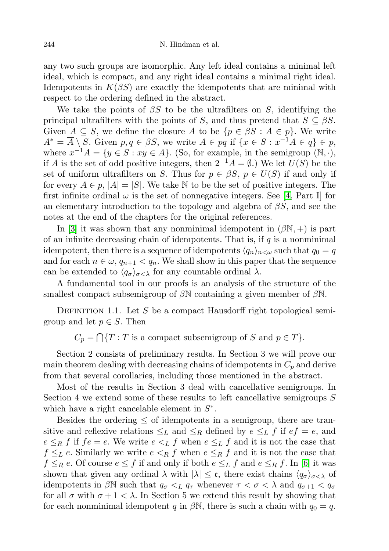any two such groups are isomorphic. Any left ideal contains a minimal left ideal, which is compact, and any right ideal contains a minimal right ideal. Idempotents in  $K(\beta S)$  are exactly the idempotents that are minimal with respect to the ordering defined in the abstract.

We take the points of  $\beta S$  to be the ultrafilters on S, identifying the principal ultrafilters with the points of S, and thus pretend that  $S \subseteq \beta S$ . Given  $A \subseteq S$ , we define the closure  $\overline{A}$  to be  $\{p \in \beta S : A \in p\}$ . We write  $A^* = \overline{A} \setminus S$ . Given  $p, q \in \beta S$ , we write  $A \in pq$  if  $\{x \in S : x^{-1}A \in q\} \in p$ , where  $x^{-1}A = \{y \in S : xy \in A\}$ . (So, for example, in the semigroup  $(N, \cdot),$ if A is the set of odd positive integers, then  $2^{-1}A = ∅$ .) We let  $U(S)$  be the set of uniform ultrafilters on S. Thus for  $p \in \beta S$ ,  $p \in U(S)$  if and only if for every  $A \in p$ ,  $|A| = |S|$ . We take N to be the set of positive integers. The first infinite ordinal  $\omega$  is the set of nonnegative integers. See [\[4,](#page-18-1) Part I] for an elementary introduction to the topology and algebra of  $\beta S$ , and see the notes at the end of the chapters for the original references.

In [\[3\]](#page-18-2) it was shown that any nonminimal idempotent in  $(\beta N, +)$  is part of an infinite decreasing chain of idempotents. That is, if  $q$  is a nonminimal idempotent, then there is a sequence of idempotents  $\langle q_n \rangle_{n \leq \omega}$  such that  $q_0 = q$ and for each  $n \in \omega$ ,  $q_{n+1} < q_n$ . We shall show in this paper that the sequence can be extended to  $\langle q_{\sigma} \rangle_{\sigma < \lambda}$  for any countable ordinal  $\lambda$ .

A fundamental tool in our proofs is an analysis of the structure of the smallest compact subsemigroup of  $\beta \mathbb{N}$  containing a given member of  $\beta \mathbb{N}$ .

DEFINITION 1.1. Let S be a compact Hausdorff right topological semigroup and let  $p \in S$ . Then

 $C_p = \bigcap \{T : T \text{ is a compact subsemigroup of } S \text{ and } p \in T\}.$ 

Section 2 consists of preliminary results. In Section 3 we will prove our main theorem dealing with decreasing chains of idempotents in  $C_p$  and derive from that several corollaries, including those mentioned in the abstract.

Most of the results in Section 3 deal with cancellative semigroups. In Section 4 we extend some of these results to left cancellative semigroups S which have a right cancelable element in  $S^*$ .

Besides the ordering  $\leq$  of idempotents in a semigroup, there are transitive and reflexive relations  $\leq_L$  and  $\leq_R$  defined by  $e \leq_L f$  if  $ef = e$ , and  $e \leq_R f$  if  $fe = e$ . We write  $e \leq_L f$  when  $e \leq_L f$  and it is not the case that  $f \leq_L e$ . Similarly we write  $e \leq_R f$  when  $e \leq_R f$  and it is not the case that  $f \leq_R e$ . Of course  $e \leq f$  if and only if both  $e \leq_L f$  and  $e \leq_R f$ . In [\[6\]](#page-18-3) it was shown that given any ordinal  $\lambda$  with  $|\lambda| \leq \mathfrak{c}$ , there exist chains  $\langle q_{\sigma} \rangle_{\sigma < \lambda}$  of idempotents in  $\beta \mathbb{N}$  such that  $q_{\sigma} <_{L} q_{\tau}$  whenever  $\tau < \sigma < \lambda$  and  $q_{\sigma+1} < q_{\sigma}$ for all  $\sigma$  with  $\sigma + 1 < \lambda$ . In Section 5 we extend this result by showing that for each nonminimal idempotent q in  $\beta N$ , there is such a chain with  $q_0 = q$ .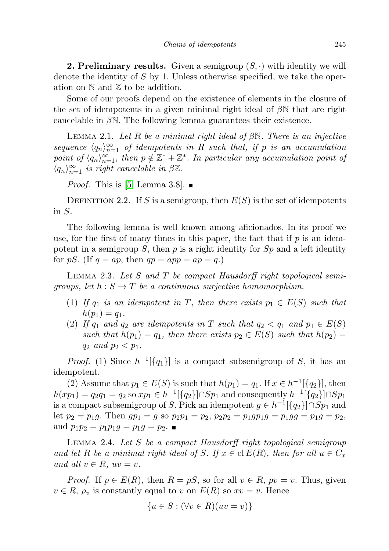**2. Preliminary results.** Given a semigroup  $(S, \cdot)$  with identity we will denote the identity of  $S$  by 1. Unless otherwise specified, we take the operation on  $\mathbb N$  and  $\mathbb Z$  to be addition.

Some of our proofs depend on the existence of elements in the closure of the set of idempotents in a given minimal right ideal of  $\beta\mathbb{N}$  that are right cancelable in  $\beta$ N. The following lemma guarantees their existence.

<span id="page-2-0"></span>LEMMA 2.1. Let R be a minimal right ideal of  $\beta N$ . There is an injective sequence  $\langle q_n \rangle_{n=1}^{\infty}$  of idempotents in R such that, if p is an accumulation point of  $\langle q_n \rangle_{n=1}^{\infty}$ , then  $p \notin \mathbb{Z}^* + \mathbb{Z}^*$ . In particular any accumulation point of  $\langle q_n \rangle_{n=1}^{\infty}$  is right cancelable in  $\beta \mathbb{Z}$ .

*Proof.* This is [\[5,](#page-18-4) Lemma 3.8].  $\blacksquare$ 

DEFINITION 2.2. If S is a semigroup, then  $E(S)$  is the set of idempotents in S.

The following lemma is well known among aficionados. In its proof we use, for the first of many times in this paper, the fact that if  $p$  is an idempotent in a semigroup S, then  $p$  is a right identity for  $Sp$  and a left identity for pS. (If  $q = ap$ , then  $qp = app = ap = q$ .)

<span id="page-2-2"></span>LEMMA 2.3. Let  $S$  and  $T$  be compact Hausdorff right topological semigroups, let  $h : S \to T$  be a continuous surjective homomorphism.

- (1) If  $q_1$  is an idempotent in T, then there exists  $p_1 \in E(S)$  such that  $h(p_1) = q_1.$
- (2) If  $q_1$  and  $q_2$  are idempotents in T such that  $q_2 < q_1$  and  $p_1 \in E(S)$ such that  $h(p_1) = q_1$ , then there exists  $p_2 \in E(S)$  such that  $h(p_2) =$  $q_2$  and  $p_2 < p_1$ .

*Proof.* (1) Since  $h^{-1}[\{q_1\}]$  is a compact subsemigroup of S, it has an idempotent.

(2) Assume that  $p_1 \in E(S)$  is such that  $h(p_1) = q_1$ . If  $x \in h^{-1}[\{q_2\}]$ , then  $h(xp_1) = q_2q_1 = q_2$  so  $xp_1 \in h^{-1}[\{q_2\}] \cap Sp_1$  and consequently  $h^{-1}[\{q_2\}] \cap Sp_1$ is a compact subsemigroup of S. Pick an idempotent  $g \in h^{-1}[\lbrace q_2 \rbrace] \cap Sp_1$  and let  $p_2 = p_1g$ . Then  $gp_1 = g$  so  $p_2p_1 = p_2$ ,  $p_2p_2 = p_1gp_1 = p_1gg = p_1g = p_2$ , and  $p_1p_2 = p_1p_1g = p_1g = p_2$ .

<span id="page-2-1"></span>Lemma 2.4. Let S be a compact Hausdorff right topological semigroup and let R be a minimal right ideal of S. If  $x \in \text{cl } E(R)$ , then for all  $u \in C_x$ and all  $v \in R$ ,  $uv = v$ .

*Proof.* If  $p \in E(R)$ , then  $R = pS$ , so for all  $v \in R$ ,  $pv = v$ . Thus, given  $v \in R$ ,  $\rho_v$  is constantly equal to v on  $E(R)$  so  $xv = v$ . Hence

$$
\{u \in S : (\forall v \in R)(uv = v)\}\
$$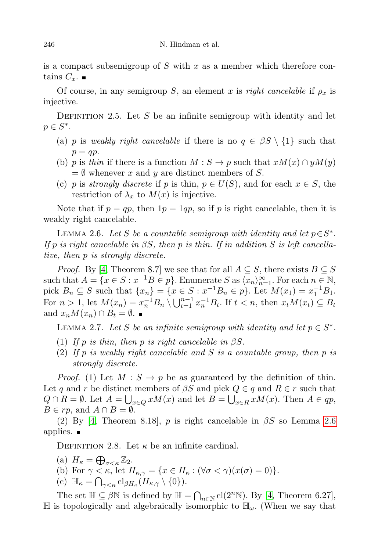is a compact subsemigroup of  $S$  with  $x$  as a member which therefore contains  $C_x$ .

Of course, in any semigroup S, an element x is right cancelable if  $\rho_x$  is injective.

DEFINITION 2.5. Let S be an infinite semigroup with identity and let  $p \in S^*$ .

- (a) p is weakly right cancelable if there is no  $q \in \beta S \setminus \{1\}$  such that  $p = qp$ .
- (b) p is thin if there is a function  $M : S \to p$  such that  $xM(x) \cap yM(y)$  $=\emptyset$  whenever x and y are distinct members of S.
- (c) p is strongly discrete if p is thin,  $p \in U(S)$ , and for each  $x \in S$ , the restriction of  $\lambda_x$  to  $M(x)$  is injective.

Note that if  $p = qp$ , then  $1p = 1qp$ , so if p is right cancelable, then it is weakly right cancelable.

<span id="page-3-0"></span>LEMMA 2.6. Let S be a countable semigroup with identity and let  $p \in S^*$ . If p is right cancelable in  $\beta S$ , then p is thin. If in addition S is left cancellative, then p is strongly discrete.

*Proof.* By [\[4,](#page-18-1) Theorem 8.7] we see that for all  $A \subseteq S$ , there exists  $B \subseteq S$ such that  $A = \{x \in S : x^{-1}B \in p\}$ . Enumerate S as  $\langle x_n \rangle_{n=1}^{\infty}$ . For each  $n \in \mathbb{N}$ , pick  $B_n \subseteq S$  such that  $\{x_n\} = \{x \in S : x^{-1}B_n \in p\}$ . Let  $M(x_1) = x_1^{-1}B_1$ . For  $n > 1$ , let  $M(x_n) = x_n^{-1}B_n \setminus \bigcup_{t=1}^{n-1} x_n^{-1}B_t$ . If  $t < n$ , then  $x_tM(x_t) \subseteq B_t$ and  $x_n M(x_n) \cap B_t = \emptyset$ .

<span id="page-3-1"></span>LEMMA 2.7. Let S be an infinite semigroup with identity and let  $p \in S^*$ .

- (1) If p is thin, then p is right cancelable in  $\beta S$ .
- (2) If p is weakly right cancelable and S is a countable group, then p is strongly discrete.

*Proof.* (1) Let  $M : S \to p$  be as guaranteed by the definition of thin. Let q and r be distinct members of  $\beta S$  and pick  $Q \in q$  and  $R \in r$  such that  $Q \cap R = \emptyset$ . Let  $A = \bigcup_{x \in Q} xM(x)$  and let  $B = \bigcup_{x \in R} xM(x)$ . Then  $A \in qp$ ,  $B \in rp$ , and  $A \cap B = \emptyset$ .

(2) By [\[4,](#page-18-1) Theorem 8.18], p is right cancelable in  $\beta S$  so Lemma [2.6](#page-3-0) applies.  $\blacksquare$ 

DEFINITION 2.8. Let  $\kappa$  be an infinite cardinal.

- (a)  $H_{\kappa} = \bigoplus_{\sigma < \kappa} \mathbb{Z}_2$ .
- (b) For  $\gamma < \kappa$ , let  $H_{\kappa,\gamma} = \{x \in H_{\kappa} : (\forall \sigma < \gamma)(x(\sigma) = 0)\}.$
- (c)  $\mathbb{H}_{\kappa} = \bigcap_{\gamma < \kappa} \mathrm{cl}_{\beta H_{\kappa}}(H_{\kappa,\gamma} \setminus \{0\}).$

The set  $\mathbb{H} \subseteq \beta \mathbb{N}$  is defined by  $\mathbb{H} = \bigcap_{n \in \mathbb{N}} cl(2^n \mathbb{N})$ . By [\[4,](#page-18-1) Theorem 6.27],  $\mathbb H$  is topologically and algebraically isomorphic to  $\mathbb H_{\omega}$ . (When we say that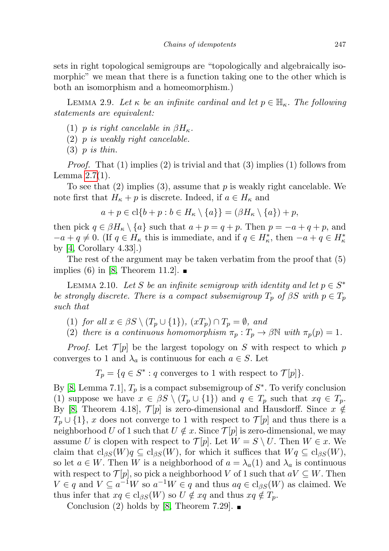sets in right topological semigroups are "topologically and algebraically isomorphic" we mean that there is a function taking one to the other which is both an isomorphism and a homeomorphism.)

<span id="page-4-1"></span>LEMMA 2.9. Let  $\kappa$  be an infinite cardinal and let  $p \in \mathbb{H}_{\kappa}$ . The following statements are equivalent:

- (1) p is right cancelable in  $\beta H_{\kappa}$ .
- (2) p is weakly right cancelable.
- $(3)$  p is thin.

*Proof.* That  $(1)$  implies  $(2)$  is trivial and that  $(3)$  implies  $(1)$  follows from Lemma [2.7\(](#page-3-1)1).

To see that  $(2)$  implies  $(3)$ , assume that p is weakly right cancelable. We note first that  $H_{\kappa} + p$  is discrete. Indeed, if  $a \in H_{\kappa}$  and

$$
a + p \in \mathrm{cl}\{b + p : b \in H_{\kappa} \setminus \{a\}\} = (\beta H_{\kappa} \setminus \{a\}) + p,
$$

then pick  $q \in \beta H_{\kappa} \setminus \{a\}$  such that  $a + p = q + p$ . Then  $p = -a + q + p$ , and  $-a+q \neq 0$ . (If  $q \in H_{\kappa}$  this is immediate, and if  $q \in H_{\kappa}^*$ , then  $-a+q \in H_{\kappa}^*$ by [\[4,](#page-18-1) Corollary 4.33].)

The rest of the argument may be taken verbatim from the proof that (5) implies (6) in [\[8,](#page-18-5) Theorem 11.2].  $\blacksquare$ 

<span id="page-4-0"></span>LEMMA 2.10. Let S be an infinite semigroup with identity and let  $p \in S^*$ be strongly discrete. There is a compact subsemigroup  $T_p$  of  $\beta S$  with  $p \in T_p$ such that

- (1) for all  $x \in \beta S \setminus (T_p \cup \{1\}), (xT_p) \cap T_p = \emptyset$ , and
- (2) there is a continuous homomorphism  $\pi_p : T_p \to \beta \mathbb{N}$  with  $\pi_p(p) = 1$ .

*Proof.* Let  $\mathcal{T}[p]$  be the largest topology on S with respect to which p converges to 1 and  $\lambda_a$  is continuous for each  $a \in S$ . Let

 $T_p = \{q \in S^* : q \text{ converges to } 1 \text{ with respect to } \mathcal{T}[p] \}.$ 

By [\[8,](#page-18-5) Lemma 7.1],  $T_p$  is a compact subsemigroup of  $S^*$ . To verify conclusion (1) suppose we have  $x \in \beta S \setminus (T_p \cup \{1\})$  and  $q \in T_p$  such that  $xq \in T_p$ . By [\[8,](#page-18-5) Theorem 4.18],  $\mathcal{T}[p]$  is zero-dimensional and Hausdorff. Since  $x \notin$  $T_p \cup \{1\}$ , x does not converge to 1 with respect to  $\mathcal{T}[p]$  and thus there is a neighborhood U of 1 such that  $U \notin x$ . Since  $\mathcal{T}[p]$  is zero-dimensional, we may assume U is clopen with respect to  $\mathcal{T}[p]$ . Let  $W = S \setminus U$ . Then  $W \in \mathcal{x}$ . We claim that  $\text{cl}_{\beta S}(W)q \subseteq \text{cl}_{\beta S}(W)$ , for which it suffices that  $Wq \subseteq \text{cl}_{\beta S}(W)$ , so let  $a \in W$ . Then W is a neighborhood of  $a = \lambda_a(1)$  and  $\lambda_a$  is continuous with respect to  $\mathcal{T}[p]$ , so pick a neighborhood V of 1 such that  $aV \subseteq W$ . Then  $V \in q$  and  $V \subseteq a^{-1}W$  so  $a^{-1}W \in q$  and thus  $aq \in \text{cl}_{\beta S}(W)$  as claimed. We thus infer that  $xq \in \text{cl}_{\beta S}(W)$  so  $U \notin xq$  and thus  $xq \notin T_p$ .

Conclusion (2) holds by [\[8,](#page-18-5) Theorem 7.29].  $\blacksquare$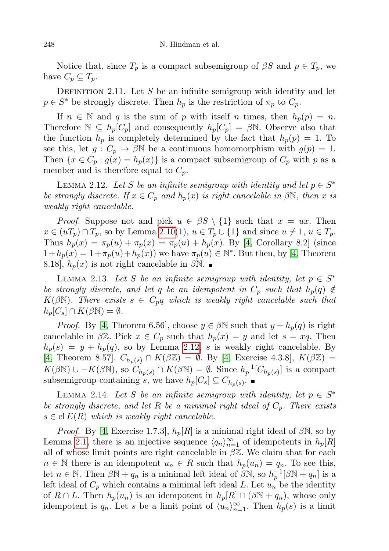Notice that, since  $T_p$  is a compact subsemigroup of  $\beta S$  and  $p \in T_p$ , we have  $C_p \subseteq T_p$ .

DEFINITION 2.11. Let S be an infinite semigroup with identity and let  $p \in S^*$  be strongly discrete. Then  $h_p$  is the restriction of  $\pi_p$  to  $C_p$ .

If  $n \in \mathbb{N}$  and q is the sum of p with itself n times, then  $h_p(p) = n$ . Therefore  $\mathbb{N} \subseteq h_p[C_p]$  and consequently  $h_p[C_p] = \beta \mathbb{N}$ . Observe also that the function  $h_p$  is completely determined by the fact that  $h_p(p) = 1$ . To see this, let  $g: C_p \to \beta \mathbb{N}$  be a continuous homomorphism with  $g(p) = 1$ . Then  $\{x \in C_p : g(x) = h_p(x)\}\$ is a compact subsemigroup of  $C_p$  with p as a member and is therefore equal to  $C_p$ .

<span id="page-5-0"></span>LEMMA 2.12. Let S be an infinite semigroup with identity and let  $p \in S^*$ be strongly discrete. If  $x \in C_p$  and  $h_p(x)$  is right cancelable in  $\beta \mathbb{N}$ , then x is weakly right cancelable.

*Proof.* Suppose not and pick  $u \in \beta S \setminus \{1\}$  such that  $x = ux$ . Then  $x \in (uT_p) \cap T_p$ , so by Lemma [2.10\(](#page-4-0)1),  $u \in T_p \cup \{1\}$  and since  $u \neq 1$ ,  $u \in T_p$ . Thus  $h_p(x) = \pi_p(u) + \pi_p(x) = \pi_p(u) + h_p(x)$ . By [\[4,](#page-18-1) Corollary 8.2] (since  $1+h_p(x)=1+\pi_p(u)+h_p(x)$  we have  $\pi_p(u)\in \mathbb{N}^*$ . But then, by [\[4,](#page-18-1) Theorem 8.18,  $h_p(x)$  is not right cancelable in  $\beta N$ .

<span id="page-5-1"></span>LEMMA 2.13. Let S be an infinite semigroup with identity, let  $p \in S^*$ be strongly discrete, and let q be an idempotent in  $C_p$  such that  $h_p(q) \notin$  $K(\beta\mathbb{N})$ . There exists  $s \in C_p q$  which is weakly right cancelable such that  $h_p[C_s] \cap K(\beta \mathbb{N}) = \emptyset.$ 

*Proof.* By [\[4,](#page-18-1) Theorem 6.56], choose  $y \in \beta \mathbb{N}$  such that  $y + h_p(q)$  is right cancelable in  $\beta \mathbb{Z}$ . Pick  $x \in C_p$  such that  $h_p(x) = y$  and let  $s = xq$ . Then  $h_p(s) = y + h_p(q)$ , so by Lemma [2.12,](#page-5-0) s is weakly right cancelable. By [\[4,](#page-18-1) Theorem 8.57],  $C_{h_p(s)} \cap K(\beta \mathbb{Z}) = \emptyset$ . By [4, Exercise 4.3.8],  $K(\beta \mathbb{Z}) =$  $K(\beta \mathbb{N}) \cup -K(\beta \mathbb{N}),$  so  $C_{h_p(s)} \cap K(\beta \mathbb{N}) = \emptyset$ . Since  $h_p^{-1}[C_{h_p(s)}]$  is a compact subsemigroup containing s, we have  $h_p[C_s] \subseteq C_{h_p(s)}$ .

<span id="page-5-2"></span>LEMMA 2.14. Let S be an infinite semigroup with identity, let  $p \in S^*$ be strongly discrete, and let R be a minimal right ideal of  $C_p$ . There exists  $s \in \text{cl } E(R)$  which is weakly right cancelable.

*Proof.* By [\[4,](#page-18-1) Exercise 1.7.3],  $h_p[R]$  is a minimal right ideal of  $\beta\mathbb{N}$ , so by Lemma [2.1,](#page-2-0) there is an injective sequence  $\langle q_n \rangle_{n=1}^{\infty}$  of idempotents in  $h_p[R]$ all of whose limit points are right cancelable in  $\beta \mathbb{Z}$ . We claim that for each  $n \in \mathbb{N}$  there is an idempotent  $u_n \in R$  such that  $h_p(u_n) = q_n$ . To see this, let  $n \in \mathbb{N}$ . Then  $\beta \mathbb{N} + q_n$  is a minimal left ideal of  $\beta \mathbb{N}$ , so  $h_p^{-1}[\beta \mathbb{N} + q_n]$  is a left ideal of  $C_p$  which contains a minimal left ideal L. Let  $u_n$  be the identity of  $R \cap L$ . Then  $h_p(u_n)$  is an idempotent in  $h_p[R] \cap (\beta \mathbb{N} + q_n)$ , whose only idempotent is  $q_n$ . Let s be a limit point of  $\langle u_n \rangle_{n=1}^{\infty}$ . Then  $h_p(s)$  is a limit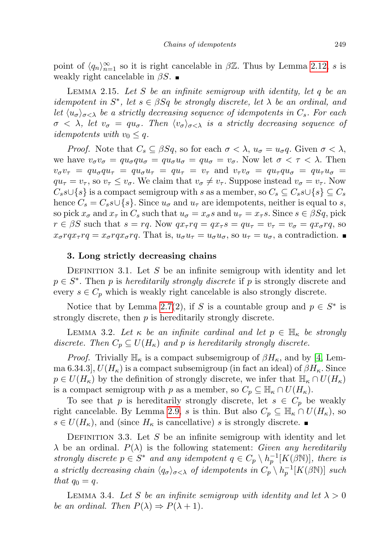point of  $\langle q_n \rangle_{n=1}^{\infty}$  so it is right cancelable in  $\beta \mathbb{Z}$ . Thus by Lemma [2.12,](#page-5-0) s is weakly right cancelable in  $\beta S$ .

<span id="page-6-0"></span>LEMMA 2.15. Let S be an infinite semigroup with identity, let q be an idempotent in  $S^*$ , let  $s \in \beta Sq$  be strongly discrete, let  $\lambda$  be an ordinal, and let  $\langle u_{\sigma}\rangle_{\sigma<\lambda}$  be a strictly decreasing sequence of idempotents in  $C_s$ . For each  $\sigma \langle \lambda \rangle$ , let  $v_{\sigma} = qu_{\sigma}$ . Then  $\langle v_{\sigma} \rangle_{\sigma \langle \lambda}$  is a strictly decreasing sequence of *idempotents with*  $v_0 \leq q$ .

*Proof.* Note that  $C_s \subseteq \beta Sq$ , so for each  $\sigma < \lambda$ ,  $u_{\sigma} = u_{\sigma} q$ . Given  $\sigma < \lambda$ , we have  $v_{\sigma}v_{\sigma} = qu_{\sigma}qu_{\sigma} = qu_{\sigma}u_{\sigma} = qu_{\sigma} = v_{\sigma}$ . Now let  $\sigma < \tau < \lambda$ . Then  $v_{\sigma}v_{\tau} = qu_{\sigma}qu_{\tau} = qu_{\sigma}u_{\tau} = qu_{\tau} = v_{\tau}$  and  $v_{\tau}v_{\sigma} = qu_{\tau}qu_{\sigma} = qu_{\tau}u_{\sigma}$  $qu_{\tau} = v_{\tau}$ , so  $v_{\tau} \leq v_{\sigma}$ . We claim that  $v_{\sigma} \neq v_{\tau}$ . Suppose instead  $v_{\sigma} = v_{\tau}$ . Now  $C_s s \cup \{s\}$  is a compact semigroup with s as a member, so  $C_s \subseteq C_s s \cup \{s\} \subseteq C_s$ hence  $C_s = C_s s \cup \{s\}$ . Since  $u_{\sigma}$  and  $u_{\tau}$  are idempotents, neither is equal to s, so pick  $x_{\sigma}$  and  $x_{\tau}$  in  $C_s$  such that  $u_{\sigma} = x_{\sigma} s$  and  $u_{\tau} = x_{\tau} s$ . Since  $s \in \beta Sq$ , pick  $r \in \beta S$  such that  $s = rq$ . Now  $qx_\tau rq = qx_\tau s = qu_\tau = v_\tau = v_\sigma = qx_\sigma rq$ , so  $x_{\sigma} r q x_{\tau} r q = x_{\sigma} r q x_{\sigma} r q$ . That is,  $u_{\sigma} u_{\tau} = u_{\sigma} u_{\sigma}$ , so  $u_{\tau} = u_{\sigma}$ , a contradiction.

## 3. Long strictly decreasing chains

DEFINITION 3.1. Let S be an infinite semigroup with identity and let  $p \in S^*$ . Then p is hereditarily strongly discrete if p is strongly discrete and every  $s \in C_p$  which is weakly right cancelable is also strongly discrete.

Notice that by Lemma [2.7\(](#page-3-1)2), if S is a countable group and  $p \in S^*$  is strongly discrete, then  $p$  is hereditarily strongly discrete.

<span id="page-6-2"></span>LEMMA 3.2. Let  $\kappa$  be an infinite cardinal and let  $p \in \mathbb{H}_{\kappa}$  be strongly discrete. Then  $C_p \subseteq U(H_\kappa)$  and p is hereditarily strongly discrete.

*Proof.* Trivially  $\mathbb{H}_{\kappa}$  is a compact subsemigroup of  $\beta H_{\kappa}$ , and by [\[4,](#page-18-1) Lemma 6.34.3,  $U(H_{\kappa})$  is a compact subsemigroup (in fact an ideal) of  $\beta H_{\kappa}$ . Since  $p \in U(H_{\kappa})$  by the definition of strongly discrete, we infer that  $\mathbb{H}_{\kappa} \cap U(H_{\kappa})$ is a compact semigroup with p as a member, so  $C_p \subseteq \mathbb{H}_{\kappa} \cap U(H_{\kappa}).$ 

To see that p is hereditarily strongly discrete, let  $s \in C_p$  be weakly right cancelable. By Lemma [2.9,](#page-4-1) s is thin. But also  $C_p \subseteq \mathbb{H}_{\kappa} \cap U(H_{\kappa}),$  so  $s \in U(H_{\kappa})$ , and (since  $H_{\kappa}$  is cancellative) s is strongly discrete.

DEFINITION 3.3. Let S be an infinite semigroup with identity and let  $\lambda$  be an ordinal.  $P(\lambda)$  is the following statement: *Given any hereditarily* strongly discrete  $p \in S^*$  and any idempotent  $q \in C_p \setminus h_p^{-1}[K(\beta \mathbb{N})]$ , there is a strictly decreasing chain  $\langle q_{\sigma} \rangle_{\sigma < \lambda}$  of idempotents in  $C_p \setminus h_p^{-1}[K(\beta \mathbb{N})]$  such that  $q_0 = q$ .

<span id="page-6-1"></span>LEMMA 3.4. Let S be an infinite semigroup with identity and let  $\lambda > 0$ be an ordinal. Then  $P(\lambda) \Rightarrow P(\lambda + 1)$ .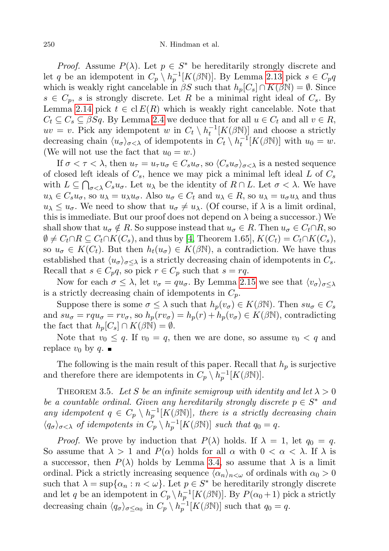*Proof.* Assume  $P(\lambda)$ . Let  $p \in S^*$  be hereditarily strongly discrete and let q be an idempotent in  $C_p \setminus h_p^{-1}[K(\beta \mathbb{N})]$ . By Lemma [2.13](#page-5-1) pick  $s \in C_p q$ which is weakly right cancelable in  $\beta S$  such that  $h_p[C_s] \cap K(\beta \mathbb{N}) = \emptyset$ . Since  $s \in C_p$ , s is strongly discrete. Let R be a minimal right ideal of  $C_s$ . By Lemma [2.14](#page-5-2) pick  $t \in \text{cl } E(R)$  which is weakly right cancelable. Note that  $C_t \subseteq C_s \subseteq \beta Sq$ . By Lemma [2.4](#page-2-1) we deduce that for all  $u \in C_t$  and all  $v \in R$ ,  $uv = v$ . Pick any idempotent w in  $C_t \setminus h_t^{-1}[K(\beta N)]$  and choose a strictly decreasing chain  $\langle u_{\sigma} \rangle_{\sigma < \lambda}$  of idempotents in  $C_t \setminus h_t^{-1}[K(\beta N)]$  with  $u_0 = w$ . (We will not use the fact that  $u_0 = w$ .)

If  $\sigma < \tau < \lambda$ , then  $u_{\tau} = u_{\tau} u_{\sigma} \in C_s u_{\sigma}$ , so  $\langle C_s u_{\sigma} \rangle_{\sigma < \lambda}$  is a nested sequence of closed left ideals of  $C_s$ , hence we may pick a minimal left ideal L of  $C_s$ with  $L \subseteq \bigcap_{\sigma < \lambda} C_s u_{\sigma}$ . Let  $u_{\lambda}$  be the identity of  $R \cap L$ . Let  $\sigma < \lambda$ . We have  $u_{\lambda} \in C_s u_{\sigma}$ , so  $u_{\lambda} = u_{\lambda} u_{\sigma}$ . Also  $u_{\sigma} \in C_t$  and  $u_{\lambda} \in R$ , so  $u_{\lambda} = u_{\sigma} u_{\lambda}$  and thus  $u_{\lambda} \leq u_{\sigma}$ . We need to show that  $u_{\sigma} \neq u_{\lambda}$ . (Of course, if  $\lambda$  is a limit ordinal, this is immediate. But our proof does not depend on  $\lambda$  being a successor.) We shall show that  $u_{\sigma} \notin R$ . So suppose instead that  $u_{\sigma} \in R$ . Then  $u_{\sigma} \in C_t \cap R$ , so  $\emptyset \neq C_t \cap R \subseteq C_t \cap K(C_s)$ , and thus by [\[4,](#page-18-1) Theorem 1.65],  $K(C_t) = C_t \cap K(C_s)$ , so  $u_{\sigma} \in K(C_t)$ . But then  $h_t(u_{\sigma}) \in K(\beta \mathbb{N})$ , a contradiction. We have thus established that  $\langle u_{\sigma} \rangle_{\sigma \leq \lambda}$  is a strictly decreasing chain of idempotents in  $C_s$ . Recall that  $s \in C_p q$ , so pick  $r \in C_p$  such that  $s = rq$ .

Now for each  $\sigma \leq \lambda$ , let  $v_{\sigma} = qu_{\sigma}$ . By Lemma [2.15](#page-6-0) we see that  $\langle v_{\sigma} \rangle_{\sigma \leq \lambda}$ is a strictly decreasing chain of idempotents in  $C_p$ .

Suppose there is some  $\sigma \leq \lambda$  such that  $h_p(v_\sigma) \in K(\beta \mathbb{N})$ . Then  $su_\sigma \in C_s$ and  $su_{\sigma} = rqu_{\sigma} = rv_{\sigma}$ , so  $h_p(rv_{\sigma}) = h_p(r) + h_p(v_{\sigma}) \in K(\beta \mathbb{N})$ , contradicting the fact that  $h_p[C_s] \cap K(\beta \mathbb{N}) = \emptyset$ .

Note that  $v_0 \leq q$ . If  $v_0 = q$ , then we are done, so assume  $v_0 < q$  and replace  $v_0$  by q.

The following is the main result of this paper. Recall that  $h_p$  is surjective and therefore there are idempotents in  $C_p \setminus h_p^{-1}[K(\beta \mathbb{N})]$ .

<span id="page-7-0"></span>THEOREM 3.5. Let S be an infinite semigroup with identity and let  $\lambda > 0$ be a countable ordinal. Given any hereditarily strongly discrete  $p \in S^*$  and any idempotent  $q \in C_p \setminus h_p^{-1}[K(\beta \mathbb{N})]$ , there is a strictly decreasing chain  $\langle q_{\sigma} \rangle_{\sigma < \lambda}$  of idempotents in  $C_p \setminus h_p^{-1}[K(\beta \mathbb{N})]$  such that  $q_0 = q$ .

*Proof.* We prove by induction that  $P(\lambda)$  holds. If  $\lambda = 1$ , let  $q_0 = q$ . So assume that  $\lambda > 1$  and  $P(\alpha)$  holds for all  $\alpha$  with  $0 < \alpha < \lambda$ . If  $\lambda$  is a successor, then  $P(\lambda)$  holds by Lemma [3.4,](#page-6-1) so assume that  $\lambda$  is a limit ordinal. Pick a strictly increasing sequence  $\langle \alpha_n \rangle_{n \leq \omega}$  of ordinals with  $\alpha_0 > 0$ such that  $\lambda = \sup{\alpha_n : n < \omega}$ . Let  $p \in S^*$  be hereditarily strongly discrete and let q be an idempotent in  $C_p \setminus h_p^{-1}[K(\beta N)]$ . By  $P(\alpha_0 + 1)$  pick a strictly decreasing chain  $\langle q_{\sigma} \rangle_{\sigma \le \alpha_0}$  in  $C_p \setminus h_p^{-1}[K(\beta \mathbb{N})]$  such that  $q_0 = q$ .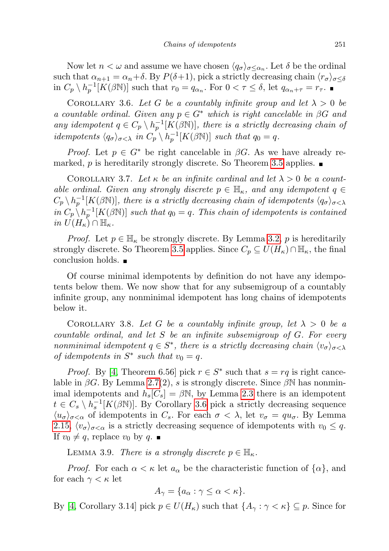Now let  $n < \omega$  and assume we have chosen  $\langle q_{\sigma} \rangle_{\sigma \leq \alpha_n}$ . Let  $\delta$  be the ordinal such that  $\alpha_{n+1} = \alpha_n + \delta$ . By  $P(\delta+1)$ , pick a strictly decreasing chain  $\langle r_{\sigma} \rangle_{\sigma < \delta}$ in  $C_p \setminus h_p^{-1}[K(\beta \mathbb{N})]$  such that  $r_0 = q_{\alpha_n}$ . For  $0 < \tau \leq \delta$ , let  $q_{\alpha_n + \tau} = r_{\tau}$ .

<span id="page-8-0"></span>COROLLARY 3.6. Let G be a countably infinite group and let  $\lambda > 0$  be a countable ordinal. Given any  $p \in G^*$  which is right cancelable in  $\beta G$  and any idempotent  $q \in C_p \setminus h_p^{-1}[K(\beta \mathbb{N})]$ , there is a strictly decreasing chain of idempotents  $\langle q_{\sigma} \rangle_{\sigma < \lambda}$  in  $C_p \setminus h_p^{-1}[K(\beta \mathbb{N})]$  such that  $q_0 = q$ .

*Proof.* Let  $p \in G^*$  be right cancelable in  $\beta G$ . As we have already re-marked, p is hereditarily strongly discrete. So Theorem [3.5](#page-7-0) applies.  $\blacksquare$ 

<span id="page-8-2"></span>COROLLARY 3.7. Let  $\kappa$  be an infinite cardinal and let  $\lambda > 0$  be a countable ordinal. Given any strongly discrete  $p \in \mathbb{H}_{\kappa}$ , and any idempotent  $q \in$  $C_p \setminus h_p^{-1}[K(\beta\mathbb{N})]$ , there is a strictly decreasing chain of idempotents  $\langle q_\sigma \rangle_{\sigma < \lambda}$ in  $C_p \setminus h_p^{-1}[K(\beta \mathbb{N})]$  such that  $q_0 = q$ . This chain of idempotents is contained in  $U(H_{\kappa}) \cap \mathbb{H}_{\kappa}$ .

*Proof.* Let  $p \in \mathbb{H}_{\kappa}$  be strongly discrete. By Lemma [3.2,](#page-6-2) p is hereditarily strongly discrete. So Theorem [3.5](#page-7-0) applies. Since  $C_p \subseteq U(H_\kappa) \cap \mathbb{H}_\kappa$ , the final conclusion holds.

Of course minimal idempotents by definition do not have any idempotents below them. We now show that for any subsemigroup of a countably infinite group, any nonminimal idempotent has long chains of idempotents below it.

<span id="page-8-3"></span>COROLLARY 3.8. Let G be a countably infinite group, let  $\lambda > 0$  be a countable ordinal, and let  $S$  be an infinite subsemigroup of  $G$ . For every nonminimal idempotent  $q \in S^*$ , there is a strictly decreasing chain  $\langle v_{\sigma} \rangle_{\sigma < \lambda}$ of idempotents in  $S^*$  such that  $v_0 = q$ .

*Proof.* By [\[4,](#page-18-1) Theorem 6.56] pick  $r \in S^*$  such that  $s = rq$  is right cancelable in  $\beta G$ . By Lemma [2.7\(](#page-3-1)2), s is strongly discrete. Since  $\beta N$  has nonminimal idempotents and  $h_s[C_s] = \beta N$ , by Lemma [2.3](#page-2-2) there is an idempotent  $t \in C_s \setminus h_s^{-1}[K(\beta \mathbb{N})]$ . By Corollary [3.6](#page-8-0) pick a strictly decreasing sequence  $\langle u_{\sigma}\rangle_{\sigma<\alpha}$  of idempotents in  $C_s$ . For each  $\sigma<\lambda$ , let  $v_{\sigma}=qu_{\sigma}$ . By Lemma [2.15,](#page-6-0)  $\langle v_{\sigma} \rangle_{\sigma < \alpha}$  is a strictly decreasing sequence of idempotents with  $v_0 \leq q$ . If  $v_0 \neq q$ , replace  $v_0$  by  $q$ .

<span id="page-8-1"></span>LEMMA 3.9. There is a strongly discrete  $p \in \mathbb{H}_{\kappa}$ .

*Proof.* For each  $\alpha < \kappa$  let  $a_{\alpha}$  be the characteristic function of  $\{\alpha\}$ , and for each  $\gamma < \kappa$  let

$$
A_{\gamma} = \{a_{\alpha} : \gamma \leq \alpha < \kappa\}.
$$

By [\[4,](#page-18-1) Corollary 3.14] pick  $p \in U(H_{\kappa})$  such that  $\{A_{\gamma} : \gamma < \kappa\} \subseteq p$ . Since for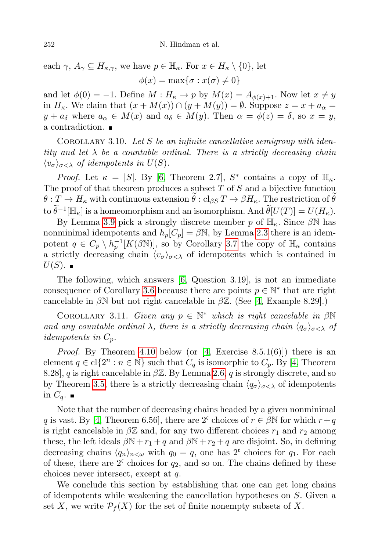each  $\gamma$ ,  $A_{\gamma} \subseteq H_{\kappa,\gamma}$ , we have  $p \in \mathbb{H}_{\kappa}$ . For  $x \in H_{\kappa} \setminus \{0\}$ , let  $\phi(x) = \max\{\sigma : x(\sigma) \neq 0\}$ 

and let  $\phi(0) = -1$ . Define  $M : H_{\kappa} \to p$  by  $M(x) = A_{\phi(x)+1}$ . Now let  $x \neq y$ in  $H_{\kappa}$ . We claim that  $(x + M(x)) \cap (y + M(y)) = \emptyset$ . Suppose  $z = x + a_{\alpha} =$  $y + a_{\delta}$  where  $a_{\alpha} \in M(x)$  and  $a_{\delta} \in M(y)$ . Then  $\alpha = \phi(z) = \delta$ , so  $x = y$ , a contradiction.

COROLLARY 3.10. Let S be an infinite cancellative semigroup with identity and let  $\lambda$  be a countable ordinal. There is a strictly decreasing chain  $\langle v_{\sigma} \rangle_{\sigma < \lambda}$  of idempotents in  $U(S)$ .

*Proof.* Let  $\kappa = |S|$ . By [\[6,](#page-18-3) Theorem 2.7],  $S^*$  contains a copy of  $\mathbb{H}_{\kappa}$ . The proof of that theorem produces a subset  $T$  of  $S$  and a bijective function  $\theta: T \to H_{\kappa}$  with continuous extension  $\theta: cl_{\beta S} T \to \beta H_{\kappa}$ . The restriction of  $\theta$ to  $\widetilde{\theta}^{-1}[\mathbb{H}_{\kappa}]$  is a homeomorphism and an isomorphism. And  $\widetilde{\theta}[U(T)] = U(H_{\kappa}).$ 

By Lemma [3.9](#page-8-1) pick a strongly discrete member p of  $\mathbb{H}_{\kappa}$ . Since  $\beta\mathbb{N}$  has nonminimal idempotents and  $h_p[C_p] = \beta \mathbb{N}$ , by Lemma [2.3](#page-2-2) there is an idempotent  $q \in C_p \setminus h_p^{-1}[K(\beta\mathbb{N})]$ , so by Corollary [3.7](#page-8-2) the copy of  $\mathbb{H}_{\kappa}$  contains a strictly decreasing chain  $\langle v_{\sigma} \rangle_{\sigma < \lambda}$  of idempotents which is contained in  $U(S)$ .

The following, which answers [\[6,](#page-18-3) Question 3.19], is not an immediate consequence of Corollary [3.6](#page-8-0) because there are points  $p \in \mathbb{N}^*$  that are right cancelable in  $\beta\mathbb{N}$  but not right cancelable in  $\beta\mathbb{Z}$ . (See [\[4,](#page-18-1) Example 8.29].)

COROLLARY 3.11. Given any  $p \in \mathbb{N}^*$  which is right cancelable in  $\beta \mathbb{N}$ and any countable ordinal  $\lambda$ , there is a strictly decreasing chain  $\langle q_{\sigma}\rangle_{\sigma<\lambda}$  of *idempotents in*  $C_p$ .

*Proof.* By Theorem [4.10](#page-14-0) below (or [\[4,](#page-18-1) Exercise 8.5.1(6)]) there is an element  $q \in \text{cl}\{2^n : n \in \mathbb{N}\}\$  such that  $C_q$  is isomorphic to  $C_p$ . By [\[4,](#page-18-1) Theorem 8.28], q is right cancelable in  $\beta \mathbb{Z}$ . By Lemma [2.6,](#page-3-0) q is strongly discrete, and so by Theorem [3.5,](#page-7-0) there is a strictly decreasing chain  $\langle q_{\sigma} \rangle_{\sigma < \lambda}$  of idempotents in  $C_q$ .

Note that the number of decreasing chains headed by a given nonminimal q is vast. By [\[4,](#page-18-1) Theorem 6.56], there are  $2^c$  choices of  $r \in \beta \mathbb{N}$  for which  $r+q$ is right cancelable in  $\beta \mathbb{Z}$  and, for any two different choices  $r_1$  and  $r_2$  among these, the left ideals  $\beta N+r_1+q$  and  $\beta N+r_2+q$  are disjoint. So, in defining decreasing chains  $\langle q_n \rangle_{n < \omega}$  with  $q_0 = q$ , one has  $2^c$  choices for  $q_1$ . For each of these, there are  $2^c$  choices for  $q_2$ , and so on. The chains defined by these choices never intersect, except at q.

We conclude this section by establishing that one can get long chains of idempotents while weakening the cancellation hypotheses on S. Given a set X, we write  $\mathcal{P}_f(X)$  for the set of finite nonempty subsets of X.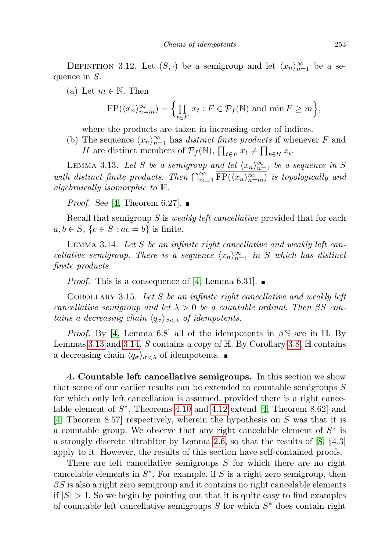DEFINITION 3.12. Let  $(S, \cdot)$  be a semigroup and let  $\langle x_n \rangle_{n=1}^{\infty}$  be a sequence in S.

(a) Let  $m \in \mathbb{N}$ . Then

$$
\text{FP}(\langle x_n \rangle_{n=m}^{\infty}) = \Big\{ \prod_{t \in F} x_t : F \in \mathcal{P}_f(\mathbb{N}) \text{ and } \min F \ge m \Big\},\
$$

where the products are taken in increasing order of indices.

(b) The sequence  $\langle x_n \rangle_{n=1}^{\infty}$  has distinct finite products if whenever F and H are distinct members of  $\mathcal{P}_f(\mathbb{N}), \prod_{t \in F} x_t \neq \prod_{t \in H} x_t$ .

<span id="page-10-0"></span>LEMMA 3.13. Let S be a semigroup and let  $\langle x_n \rangle_{n=1}^{\infty}$  be a sequence in S with distinct finite products. Then  $\bigcap_{m=1}^{\infty} \overline{\text{FP}(\langle x_n\rangle_{n=m}^{\infty})}$  is topologically and algebraically isomorphic to H.

*Proof.* See [\[4,](#page-18-1) Theorem 6.27].  $\blacksquare$ 

Recall that semigroup S is *weakly left cancellative* provided that for each  $a, b \in S$ ,  $\{c \in S : ac = b\}$  is finite.

<span id="page-10-1"></span>LEMMA 3.14. Let  $S$  be an infinite right cancellative and weakly left cancellative semigroup. There is a sequence  $\langle x_n \rangle_{n=1}^{\infty}$  in S which has distinct finite products.

*Proof.* This is a consequence of [\[4,](#page-18-1) Lemma 6.31].  $\blacksquare$ 

COROLLARY 3.15. Let S be an infinite right cancellative and weakly left cancellative semigroup and let  $\lambda > 0$  be a countable ordinal. Then  $\beta S$  contains a decreasing chain  $\langle q_{\sigma} \rangle_{\sigma < \lambda}$  of idempotents.

*Proof.* By [\[4,](#page-18-1) Lemma 6.8] all of the idempotents in  $\beta\mathbb{N}$  are in H. By Lemmas [3.13](#page-10-0) and [3.14,](#page-10-1) S contains a copy of  $H$ . By Corollary [3.8,](#page-8-3)  $H$  contains a decreasing chain  $\langle q_{\sigma} \rangle_{\sigma < \lambda}$  of idempotents.

4. Countable left cancellative semigroups. In this section we show that some of our earlier results can be extended to countable semigroups S for which only left cancellation is assumed, provided there is a right cancelable element of  $S^*$ . Theorems [4.10](#page-14-0) and [4.12](#page-14-1) extend [\[4,](#page-18-1) Theorem 8.62] and [\[4,](#page-18-1) Theorem 8.57] respectively, wherein the hypothesis on  $S$  was that it is a countable group. We observe that any right cancelable element of  $S^*$  is a strongly discrete ultrafilter by Lemma [2.6,](#page-3-0) so that the results of [\[8,](#page-18-5) §4.3] apply to it. However, the results of this section have self-contained proofs.

There are left cancellative semigroups S for which there are no right cancelable elements in  $S^*$ . For example, if S is a right zero semigroup, then  $\beta S$  is also a right zero semigroup and it contains no right cancelable elements if  $|S| > 1$ . So we begin by pointing out that it is quite easy to find examples of countable left cancellative semigroups  $S$  for which  $S^*$  does contain right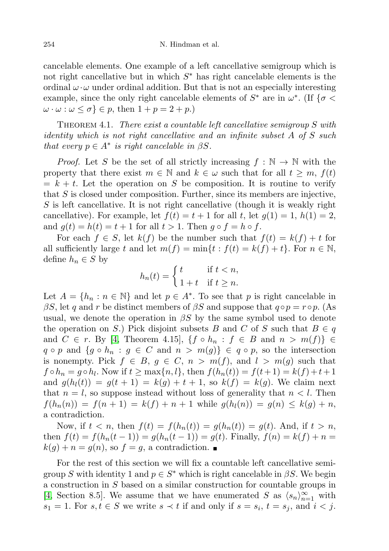cancelable elements. One example of a left cancellative semigroup which is not right cancellative but in which  $S^*$  has right cancelable elements is the ordinal  $\omega \cdot \omega$  under ordinal addition. But that is not an especially interesting example, since the only right cancelable elements of  $S^*$  are in  $\omega^*$ . (If  $\{\sigma \leq \omega\}$  $\omega \cdot \omega : \omega \leq \sigma$   $\in$  p, then  $1 + p = 2 + p$ .

THEOREM 4.1. There exist a countable left cancellative semigroup  $S$  with identity which is not right cancellative and an infinite subset A of S such that every  $p \in A^*$  is right cancelable in  $\beta S$ .

*Proof.* Let S be the set of all strictly increasing  $f : \mathbb{N} \to \mathbb{N}$  with the property that there exist  $m \in \mathbb{N}$  and  $k \in \omega$  such that for all  $t \geq m$ ,  $f(t)$  $= k + t$ . Let the operation on S be composition. It is routine to verify that S is closed under composition. Further, since its members are injective, S is left cancellative. It is not right cancellative (though it is weakly right cancellative). For example, let  $f(t) = t + 1$  for all t, let  $g(1) = 1$ ,  $h(1) = 2$ , and  $g(t) = h(t) = t + 1$  for all  $t > 1$ . Then  $g \circ f = h \circ f$ .

For each  $f \in S$ , let  $k(f)$  be the number such that  $f(t) = k(f) + t$  for all sufficiently large t and let  $m(f) = \min\{t : f(t) = k(f) + t\}$ . For  $n \in \mathbb{N}$ , define  $h_n \in S$  by

$$
h_n(t) = \begin{cases} t & \text{if } t < n, \\ 1 + t & \text{if } t \ge n. \end{cases}
$$

Let  $A = \{h_n : n \in \mathbb{N}\}\$ and let  $p \in A^*$ . To see that p is right cancelable in βS, let q and r be distinct members of βS and suppose that  $q \circ p = r \circ p$ . (As usual, we denote the operation in  $\beta S$  by the same symbol used to denote the operation on S.) Pick disjoint subsets B and C of S such that  $B \in q$ and  $C \in r$ . By [\[4,](#page-18-1) Theorem 4.15],  $\{f \circ h_n : f \in B \text{ and } n > m(f)\} \in$  $q \circ p$  and  $\{g \circ h_n : g \in C \text{ and } n > m(g)\}\in q \circ p$ , so the intersection is nonempty. Pick  $f \in B$ ,  $g \in C$ ,  $n > m(f)$ , and  $l > m(g)$  such that  $f \circ h_n = g \circ h_l$ . Now if  $t \ge \max\{n, l\}$ , then  $f(h_n(t)) = f(t+1) = k(f) + t + 1$ and  $g(h_l(t)) = g(t + 1) = k(g) + t + 1$ , so  $k(f) = k(g)$ . We claim next that  $n = l$ , so suppose instead without loss of generality that  $n < l$ . Then  $f(h_n(n)) = f(n+1) = k(f) + n + 1$  while  $g(h_l(n)) = g(n) \leq k(g) + n$ , a contradiction.

Now, if  $t < n$ , then  $f(t) = f(h_n(t)) = g(h_n(t)) = g(t)$ . And, if  $t > n$ , then  $f(t) = f(h_n(t-1)) = g(h_n(t-1)) = g(t)$ . Finally,  $f(n) = k(f) + n$  $k(g) + n = g(n)$ , so  $f = g$ , a contradiction.

For the rest of this section we will fix a countable left cancellative semigroup S with identity 1 and  $p \in S^*$  which is right cancelable in  $\beta S$ . We begin a construction in S based on a similar construction for countable groups in [\[4,](#page-18-1) Section 8.5]. We assume that we have enumerated S as  $\langle s_n \rangle_{n=1}^{\infty}$  with  $s_1 = 1$ . For  $s, t \in S$  we write  $s \prec t$  if and only if  $s = s_i$ ,  $t = s_j$ , and  $i < j$ .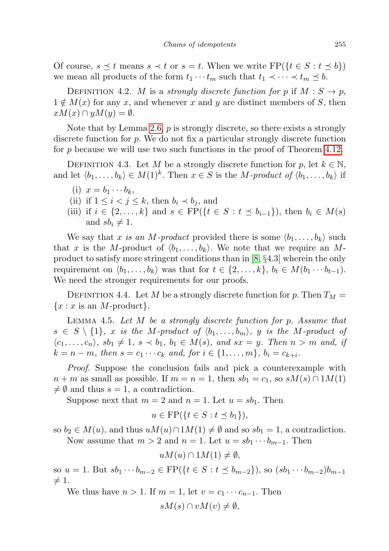Of course,  $s \preceq t$  means  $s \prec t$  or  $s = t$ . When we write  $\text{FP}(\{t \in S : t \preceq b\})$ we mean all products of the form  $t_1 \cdots t_m$  such that  $t_1 \prec \cdots \prec t_m \preceq b$ .

DEFINITION 4.2. M is a strongly discrete function for p if  $M : S \to p$ ,  $1 \notin M(x)$  for any x, and whenever x and y are distinct members of S, then  $xM(x) \cap yM(y) = \emptyset.$ 

Note that by Lemma [2.6,](#page-3-0)  $p$  is strongly discrete, so there exists a strongly discrete function for p. We do not fix a particular strongly discrete function for p because we will use two such functions in the proof of Theorem [4.12.](#page-14-1)

DEFINITION 4.3. Let M be a strongly discrete function for p, let  $k \in \mathbb{N}$ , and let  $\langle b_1, \ldots, b_k \rangle \in M(1)^k$ . Then  $x \in S$  is the M-product of  $\langle b_1, \ldots, b_k \rangle$  if

- (i)  $x = b_1 \cdots b_k$ ,
- (ii) if  $1 \leq i < j \leq k$ , then  $b_i \prec b_j$ , and
- (iii) if  $i \in \{2, ..., k\}$  and  $s \in \text{FP}(\{t \in S : t \le b_{i-1}\})$ , then  $b_i \in M(s)$ and  $sb_i \neq 1$ .

We say that x is an M-product provided there is some  $\langle b_1, \ldots, b_k \rangle$  such that x is the M-product of  $\langle b_1, \ldots, b_k \rangle$ . We note that we require an Mproduct to satisfy more stringent conditions than in [\[8,](#page-18-5) §4.3] wherein the only requirement on  $\langle b_1, \ldots, b_k \rangle$  was that for  $t \in \{2, \ldots, k\}, b_t \in M(b_1 \cdots b_{t-1}).$ We need the stronger requirements for our proofs.

DEFINITION 4.4. Let M be a strongly discrete function for p. Then  $T_M =$  ${x : x$  is an *M*-product.

<span id="page-12-0"></span>LEMMA 4.5. Let  $M$  be a strongly discrete function for  $p$ . Assume that  $s \in S \setminus \{1\}, x$  is the M-product of  $\langle b_1, \ldots, b_m \rangle$ , y is the M-product of  $\langle c_1, \ldots, c_n \rangle$ ,  $sb_1 \neq 1$ ,  $s \prec b_1$ ,  $b_1 \in M(s)$ , and  $sx = y$ . Then  $n > m$  and, if  $k = n - m$ , then  $s = c_1 \cdots c_k$  and, for  $i \in \{1, ..., m\}$ ,  $b_i = c_{k+i}$ .

Proof. Suppose the conclusion fails and pick a counterexample with  $n + m$  as small as possible. If  $m = n = 1$ , then  $sb_1 = c_1$ , so  $sM(s) \cap 1M(1)$  $\neq \emptyset$  and thus  $s = 1$ , a contradiction.

Suppose next that  $m = 2$  and  $n = 1$ . Let  $u = sb_1$ . Then

$$
u \in \text{FP}(\{t \in S : t \le b_1\}),
$$

so  $b_2 \in M(u)$ , and thus  $uM(u) \cap 1M(1) \neq \emptyset$  and so  $sb_1 = 1$ , a contradiction. Now assume that  $m > 2$  and  $n = 1$ . Let  $u = sb_1 \cdots b_{m-1}$ . Then

 $uM(u) \cap 1M(1) \neq \emptyset$ ,

so  $u = 1$ . But  $sb_1 \cdots b_{m-2} \in FP({t \in S : t \preceq b_{m-2}})$ , so  $(sb_1 \cdots b_{m-2})b_{m-1}$  $\neq 1.$ 

We thus have  $n > 1$ . If  $m = 1$ , let  $v = c_1 \cdots c_{n-1}$ . Then

$$
sM(s) \cap vM(v) \neq \emptyset,
$$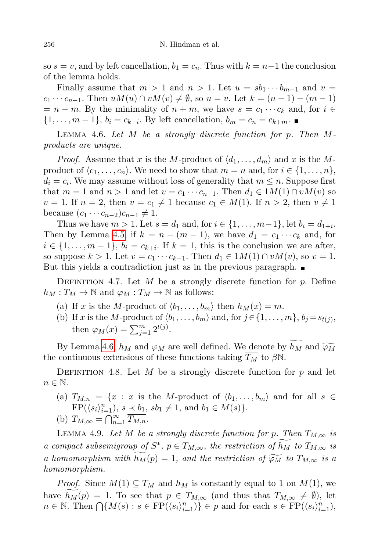so  $s = v$ , and by left cancellation,  $b_1 = c_n$ . Thus with  $k = n-1$  the conclusion of the lemma holds.

Finally assume that  $m > 1$  and  $n > 1$ . Let  $u = sb_1 \cdots b_{m-1}$  and  $v =$  $c_1 \cdots c_{n-1}$ . Then  $uM(u) \cap vM(v) \neq \emptyset$ , so  $u = v$ . Let  $k = (n-1) - (m-1)$  $= n - m$ . By the minimality of  $n + m$ , we have  $s = c_1 \cdots c_k$  and, for  $i \in$  $\{1, ..., m-1\}, b_i = c_{k+i}$ . By left cancellation,  $b_m = c_n = c_{k+m}$ .

<span id="page-13-0"></span>LEMMA 4.6. Let M be a strongly discrete function for p. Then  $M$ products are unique.

*Proof.* Assume that x is the M-product of  $\langle d_1, \ldots, d_m \rangle$  and x is the Mproduct of  $\langle c_1, \ldots, c_n \rangle$ . We need to show that  $m = n$  and, for  $i \in \{1, \ldots, n\}$ ,  $d_i = c_i$ . We may assume without loss of generality that  $m \leq n$ . Suppose first that  $m = 1$  and  $n > 1$  and let  $v = c_1 \cdots c_{n-1}$ . Then  $d_1 \in 1M(1) \cap vM(v)$  so  $v = 1$ . If  $n = 2$ , then  $v = c_1 \neq 1$  because  $c_1 \in M(1)$ . If  $n > 2$ , then  $v \neq 1$ because  $(c_1 \cdots c_{n-2})c_{n-1} \neq 1$ .

Thus we have  $m > 1$ . Let  $s = d_1$  and, for  $i \in \{1, ..., m-1\}$ , let  $b_i = d_{1+i}$ . Then by Lemma [4.5,](#page-12-0) if  $k = n - (m - 1)$ , we have  $d_1 = c_1 \cdots c_k$  and, for  $i \in \{1, \ldots, m-1\}, b_i = c_{k+i}$ . If  $k = 1$ , this is the conclusion we are after, so suppose  $k > 1$ . Let  $v = c_1 \cdots c_{k-1}$ . Then  $d_1 \in 1M(1) \cap vM(v)$ , so  $v = 1$ . But this yields a contradiction just as in the previous paragraph.

DEFINITION 4.7. Let M be a strongly discrete function for  $p$ . Define  $h_M: T_M \to \mathbb{N}$  and  $\varphi_M: T_M \to \mathbb{N}$  as follows:

- (a) If x is the M-product of  $\langle b_1, \ldots, b_m \rangle$  then  $h_M(x) = m$ .
- (b) If x is the M-product of  $\langle b_1, \ldots, b_m \rangle$  and, for  $j \in \{1, \ldots, m\}$ ,  $b_j = s_{t(j)}$ , then  $\varphi_M(x) = \sum_{j=1}^m 2^{t(j)}$ .

By Lemma [4.6,](#page-13-0)  $h_M$  and  $\varphi_M$  are well defined. We denote by  $h_M$  and  $\widetilde{\varphi_M}$ the continuous extensions of these functions taking  $\overline{T_M}$  to  $\beta \mathbb{N}$ .

DEFINITION 4.8. Let M be a strongly discrete function for  $p$  and let  $n \in \mathbb{N}$ .

(a)  $T_{M,n} = \{x : x \text{ is the } M\text{-product of } \langle b_1, \ldots, b_m \rangle \text{ and for all } s \in \mathbb{R} \}$  $FP(\langle s_i \rangle_{i=1}^n), s \prec b_1, sb_1 \neq 1, \text{ and } b_1 \in M(s) \}.$ (b)  $T_{M,\infty} = \bigcap_{n=1}^{\infty} \overline{T_{M,n}}$ .

<span id="page-13-1"></span>LEMMA 4.9. Let M be a strongly discrete function for p. Then  $T_{M,\infty}$  is a compact subsemigroup of  $S^*$ ,  $p \in T_{M,\infty}$ , the restriction of  $\widetilde{h_M}$  to  $T_{M,\infty}$  is a homomorphism with  $h_M(p) = 1$ , and the restriction of  $\widetilde{\varphi_M}$  to  $T_{M,\infty}$  is a homomorphism.

*Proof.* Since  $M(1) \subseteq T_M$  and  $h_M$  is constantly equal to 1 on  $M(1)$ , we have  $h_M(p) = 1$ . To see that  $p \in T_{M,\infty}$  (and thus that  $T_{M,\infty} \neq \emptyset$ ), let  $n \in \mathbb{N}$ . Then  $\bigcap \{M(s) : s \in \text{FP}(\langle s_i \rangle_{i=1}^n) \} \in p$  and for each  $s \in \text{FP}(\langle s_i \rangle_{i=1}^n)$ ,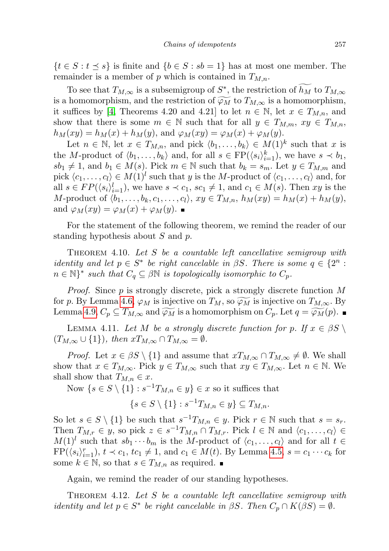$\{t \in S : t \leq s\}$  is finite and  $\{b \in S : sb = 1\}$  has at most one member. The remainder is a member of p which is contained in  $T_{M,n}$ .

To see that  $T_{M,\infty}$  is a subsemigroup of  $S^*$ , the restriction of  $h_M$  to  $T_{M,\infty}$ is a homomorphism, and the restriction of  $\widetilde{\varphi_M}$  to  $T_{M,\infty}$  is a homomorphism, it suffices by [\[4,](#page-18-1) Theorems 4.20 and 4.21] to let  $n \in \mathbb{N}$ , let  $x \in T_{M,n}$ , and show that there is some  $m \in \mathbb{N}$  such that for all  $y \in T_{M,m}$ ,  $xy \in T_{M,n}$ ,  $h_M(xy) = h_M(x) + h_M(y)$ , and  $\varphi_M(xy) = \varphi_M(x) + \varphi_M(y)$ .

Let  $n \in \mathbb{N}$ , let  $x \in T_{M,n}$ , and pick  $\langle b_1, \ldots, b_k \rangle \in M(1)^k$  such that x is the M-product of  $\langle b_1, \ldots, b_k \rangle$  and, for all  $s \in \text{FP}(\langle s_i \rangle_{i=1}^k)$ , we have  $s \prec b_1$ ,  $sb_1 \neq 1$ , and  $b_1 \in M(s)$ . Pick  $m \in \mathbb{N}$  such that  $b_k = s_m$ . Let  $y \in T_{M,m}$  and pick  $\langle c_1, \ldots, c_l \rangle \in M(1)^l$  such that y is the M-product of  $\langle c_1, \ldots, c_l \rangle$  and, for all  $s \in FP(\langle s_i \rangle_{i=1}^l)$ , we have  $s \prec c_1$ ,  $sc_1 \neq 1$ , and  $c_1 \in M(s)$ . Then xy is the M-product of  $\langle b_1, \ldots, b_k, c_1, \ldots, c_l \rangle$ ,  $xy \in T_{M,n}$ ,  $h_M(xy) = h_M(x) + h_M(y)$ , and  $\varphi_M(xy) = \varphi_M(x) + \varphi_M(y)$ .

For the statement of the following theorem, we remind the reader of our standing hypothesis about S and p.

<span id="page-14-0"></span>THEOREM 4.10. Let  $S$  be a countable left cancellative semigroup with *identity* and let  $p \in S^*$  be right cancelable in  $\beta S$ . There is some  $q \in \{2^n : S \mid S \neq \emptyset\}$  $n \in \mathbb{N}^*$  such that  $C_q \subseteq \beta \mathbb{N}$  is topologically isomorphic to  $C_p$ .

*Proof.* Since  $p$  is strongly discrete, pick a strongly discrete function  $M$ for p. By Lemma [4.6,](#page-13-0)  $\varphi_M$  is injective on  $T_M$ , so  $\widetilde{\varphi_M}$  is injective on  $T_{M,\infty}$ . By Lemma [4.9,](#page-13-1)  $C_p \subseteq T_{M,\infty}$  and  $\widetilde{\varphi_M}$  is a homomorphism on  $C_p$ . Let  $q = \widetilde{\varphi_M}(p)$ .

<span id="page-14-2"></span>LEMMA 4.11. Let M be a strongly discrete function for p. If  $x \in \beta S \setminus \mathbb{R}$  $(T_{M,\infty} \cup \{1\}),$  then  $xT_{M,\infty} \cap T_{M,\infty} = \emptyset.$ 

*Proof.* Let  $x \in \beta S \setminus \{1\}$  and assume that  $xT_{M,\infty} \cap T_{M,\infty} \neq \emptyset$ . We shall show that  $x \in T_{M,\infty}$ . Pick  $y \in T_{M,\infty}$  such that  $xy \in T_{M,\infty}$ . Let  $n \in \mathbb{N}$ . We shall show that  $T_{M,n} \in \mathcal{X}$ .

Now  $\{s \in S \setminus \{1\} : s^{-1}T_{M,n} \in y\} \in x$  so it suffices that

$$
\{s \in S \setminus \{1\} : s^{-1}T_{M,n} \in y\} \subseteq T_{M,n}.
$$

So let  $s \in S \setminus \{1\}$  be such that  $s^{-1}T_{M,n} \in y$ . Pick  $r \in \mathbb{N}$  such that  $s = s_r$ . Then  $T_{M,r} \in y$ , so pick  $z \in s^{-1}T_{M,n} \cap T_{M,r}$ . Pick  $l \in \mathbb{N}$  and  $\langle c_1, \ldots, c_l \rangle \in$  $M(1)^l$  such that  $sb_1 \cdots b_m$  is the M-product of  $\langle c_1, \ldots, c_l \rangle$  and for all  $t \in$  $FP(\langle s_i \rangle_{i=1}^r), t \prec c_1, tc_1 \neq 1$ , and  $c_1 \in M(t)$ . By Lemma [4.5,](#page-12-0)  $s = c_1 \cdots c_k$  for some  $k \in \mathbb{N}$ , so that  $s \in T_{M,n}$  as required.

Again, we remind the reader of our standing hypotheses.

<span id="page-14-1"></span>THEOREM 4.12. Let  $S$  be a countable left cancellative semigroup with *identity* and let  $p \in S^*$  be right cancelable in  $\beta S$ . Then  $C_p \cap K(\beta S) = \emptyset$ .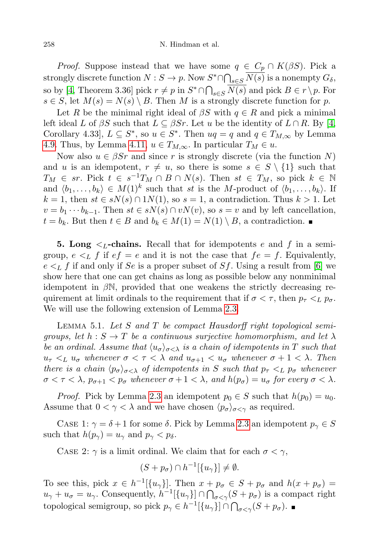*Proof.* Suppose instead that we have some  $q \in C_p \cap K(\beta S)$ . Pick a strongly discrete function  $N: S \to p$ . Now  $S^* \cap \bigcap_{s \in S} \overline{N(s)}$  is a nonempty  $G_{\delta}$ , so by [\[4,](#page-18-1) Theorem 3.36] pick  $r \neq p$  in  $S^* \cap \bigcap_{s \in S} \overline{N(s)}$  and pick  $B \in r \setminus p$ . For  $s \in S$ , let  $M(s) = N(s) \setminus B$ . Then M is a strongly discrete function for p.

Let R be the minimal right ideal of  $\beta S$  with  $q \in R$  and pick a minimal left ideal L of  $\beta S$  such that  $L \subseteq \beta Sr$ . Let u be the identity of  $L \cap R$ . By [\[4,](#page-18-1) Corollary 4.33,  $L \subseteq S^*$ , so  $u \in S^*$ . Then  $uq = q$  and  $q \in T_{M,\infty}$  by Lemma [4.9.](#page-13-1) Thus, by Lemma [4.11,](#page-14-2)  $u \in T_{M,\infty}$ . In particular  $T_M \in u$ .

Now also  $u \in \beta S r$  and since r is strongly discrete (via the function N) and u is an idempotent,  $r \neq u$ , so there is some  $s \in S \setminus \{1\}$  such that  $T_M \in sr.$  Pick  $t \in s^{-1}T_M \cap B \cap N(s)$ . Then  $st \in T_M$ , so pick  $k \in \mathbb{N}$ and  $\langle b_1, \ldots, b_k \rangle \in M(1)^k$  such that st is the M-product of  $\langle b_1, \ldots, b_k \rangle$ . If  $k = 1$ , then  $st \in sN(s) \cap 1N(1)$ , so  $s = 1$ , a contradiction. Thus  $k > 1$ . Let  $v = b_1 \cdots b_{k-1}$ . Then  $st \in sN(s) \cap vN(v)$ , so  $s = v$  and by left cancellation,  $t = b_k$ . But then  $t \in B$  and  $b_k \in M(1) = N(1) \setminus B$ , a contradiction. ■

**5. Long**  $\leq_L$ -chains. Recall that for idempotents e and f in a semigroup,  $e \leq_L f$  if  $ef = e$  and it is not the case that  $fe = f$ . Equivalently,  $e \leq_L f$  if and only if Se is a proper subset of Sf. Using a result from [\[6\]](#page-18-3) we show here that one can get chains as long as possible below any nonminimal idempotent in  $\beta N$ , provided that one weakens the strictly decreasing requirement at limit ordinals to the requirement that if  $\sigma < \tau$ , then  $p_{\tau} <_{L} p_{\sigma}$ . We will use the following extension of Lemma [2.3.](#page-2-2)

<span id="page-15-0"></span>LEMMA 5.1. Let S and T be compact Hausdorff right topological semigroups, let  $h : S \to T$  be a continuous surjective homomorphism, and let  $\lambda$ be an ordinal. Assume that  $\langle u_{\sigma} \rangle_{\sigma < \lambda}$  is a chain of idempotents in T such that  $u_{\tau} <_{L} u_{\sigma}$  whenever  $\sigma < \tau < \lambda$  and  $u_{\sigma+1} < u_{\sigma}$  whenever  $\sigma + 1 < \lambda$ . Then there is a chain  $\langle p_{\sigma}\rangle_{\sigma<\lambda}$  of idempotents in S such that  $p_{\tau}<sub>L</sub> p_{\sigma}$  whenever  $\sigma < \tau < \lambda$ ,  $p_{\sigma+1} < p_{\sigma}$  whenever  $\sigma+1 < \lambda$ , and  $h(p_{\sigma}) = u_{\sigma}$  for every  $\sigma < \lambda$ .

*Proof.* Pick by Lemma [2.3](#page-2-2) an idempotent  $p_0 \in S$  such that  $h(p_0) = u_0$ . Assume that  $0 < \gamma < \lambda$  and we have chosen  $\langle p_{\sigma} \rangle_{\sigma < \gamma}$  as required.

CASE 1:  $\gamma = \delta + 1$  for some  $\delta$ . Pick by Lemma [2.3](#page-2-2) an idempotent  $p_{\gamma} \in S$ such that  $h(p_\gamma) = u_\gamma$  and  $p_\gamma < p_\delta$ .

CASE 2:  $\gamma$  is a limit ordinal. We claim that for each  $\sigma < \gamma$ ,

$$
(S + p_{\sigma}) \cap h^{-1}[\{u_{\gamma}\}] \neq \emptyset.
$$

To see this, pick  $x \in h^{-1}[\{u_\gamma\}]$ . Then  $x + p_\sigma \in S + p_\sigma$  and  $h(x + p_\sigma) =$  $u_{\gamma} + u_{\sigma} = u_{\gamma}$ . Consequently,  $h^{-1}[\{u_{\gamma}\}] \cap \bigcap_{\sigma < \gamma} (S + p_{\sigma})$  is a compact right topological semigroup, so pick  $p_{\gamma} \in h^{-1}[\lbrace u_{\gamma} \rbrace] \cap \bigcap_{\sigma < \gamma} (S + p_{\sigma}).$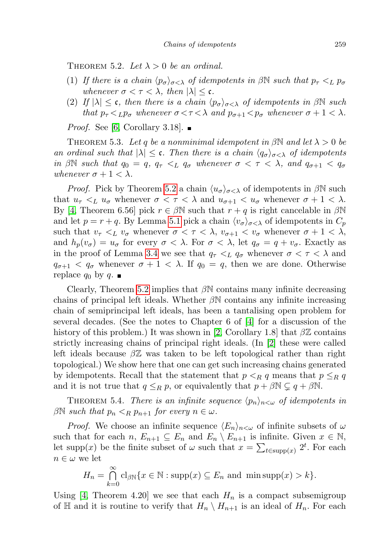<span id="page-16-0"></span>THEOREM 5.2. Let  $\lambda > 0$  be an ordinal.

- (1) If there is a chain  $\langle p_{\sigma} \rangle_{\sigma < \lambda}$  of idempotents in βN such that  $p_{\tau} <_L p_{\sigma}$ whenever  $\sigma < \tau < \lambda$ , then  $|\lambda| \leq \mathfrak{c}$ .
- (2) If  $|\lambda| \leq \mathfrak{c}$ , then there is a chain  $\langle p_{\sigma} \rangle_{\sigma < \lambda}$  of idempotents in  $\beta \mathbb{N}$  such that  $p_{\tau} <_{L} p_{\sigma}$  whenever  $\sigma < \tau < \lambda$  and  $p_{\sigma+1} < p_{\sigma}$  whenever  $\sigma + 1 < \lambda$ .

*Proof.* See [\[6,](#page-18-3) Corollary 3.18].  $\blacksquare$ 

THEOREM 5.3. Let q be a nonminimal idempotent in  $\beta \mathbb{N}$  and let  $\lambda > 0$  be an ordinal such that  $|\lambda| \leq \mathfrak{c}$ . Then there is a chain  $\langle q_{\sigma} \rangle_{\sigma < \lambda}$  of idempotents in βN such that  $q_0 = q, q_\tau <_L q_\sigma$  whenever  $\sigma < \tau < \lambda$ , and  $q_{\sigma+1} < q_\sigma$ whenever  $\sigma + 1 < \lambda$ .

*Proof.* Pick by Theorem [5.2](#page-16-0) a chain  $\langle u_{\sigma} \rangle_{\sigma < \lambda}$  of idempotents in  $\beta N$  such that  $u_{\tau} <_{L} u_{\sigma}$  whenever  $\sigma < \tau < \lambda$  and  $u_{\sigma+1} < u_{\sigma}$  whenever  $\sigma + 1 < \lambda$ . By [\[4,](#page-18-1) Theorem 6.56] pick  $r \in \beta \mathbb{N}$  such that  $r + q$  is right cancelable in  $\beta \mathbb{N}$ and let  $p = r + q$ . By Lemma [5.1](#page-15-0) pick a chain  $\langle v_{\sigma} \rangle_{\sigma < \lambda}$  of idempotents in  $C_p$ such that  $v_{\tau} <_{L} v_{\sigma}$  whenever  $\sigma < \tau < \lambda$ ,  $v_{\sigma+1} < v_{\sigma}$  whenever  $\sigma + 1 < \lambda$ , and  $h_p(v_\sigma) = u_\sigma$  for every  $\sigma < \lambda$ . For  $\sigma < \lambda$ , let  $q_\sigma = q + v_\sigma$ . Exactly as in the proof of Lemma [3.4](#page-6-1) we see that  $q_{\tau} <_{L} q_{\sigma}$  whenever  $\sigma < \tau < \lambda$  and  $q_{\sigma+1} < q_{\sigma}$  whenever  $\sigma+1 < \lambda$ . If  $q_0 = q$ , then we are done. Otherwise replace  $q_0$  by  $q$ .

Clearly, Theorem [5.2](#page-16-0) implies that  $\beta\mathbb{N}$  contains many infinite decreasing chains of principal left ideals. Whether  $\beta\mathbb{N}$  contains any infinite increasing chain of semiprincipal left ideals, has been a tantalising open problem for several decades. (See the notes to Chapter 6 of [\[4\]](#page-18-1) for a discussion of the history of this problem.) It was shown in [\[2,](#page-18-6) Corollary 1.8] that  $\beta\mathbb{Z}$  contains strictly increasing chains of principal right ideals. (In [\[2\]](#page-18-6) these were called left ideals because  $\beta \mathbb{Z}$  was taken to be left topological rather than right topological.) We show here that one can get such increasing chains generated by idempotents. Recall that the statement that  $p \leq_R q$  means that  $p \leq_R q$ and it is not true that  $q \leq_R p$ , or equivalently that  $p + \beta \mathbb{N} \subsetneq q + \beta \mathbb{N}$ .

THEOREM 5.4. There is an infinite sequence  $\langle p_n \rangle_{n \langle \omega}$  of idempotents in  $\beta\mathbb{N}$  such that  $p_n \leq_R p_{n+1}$  for every  $n \in \omega$ .

*Proof.* We choose an infinite sequence  $\langle E_n \rangle_{n \leq \omega}$  of infinite subsets of  $\omega$ such that for each  $n, E_{n+1} \subseteq E_n$  and  $E_n \setminus E_{n+1}$  is infinite. Given  $x \in \mathbb{N}$ , let supp(x) be the finite subset of  $\omega$  such that  $x = \sum_{t \in \text{supp}(x)} 2^t$ . For each  $n \in \omega$  we let

$$
H_n = \bigcap_{k=0}^{\infty} cl_{\beta \mathbb{N}} \{x \in \mathbb{N} : \text{supp}(x) \subseteq E_n \text{ and } \min \text{supp}(x) > k \}.
$$

Using [\[4,](#page-18-1) Theorem 4.20] we see that each  $H_n$  is a compact subsemigroup of H and it is routine to verify that  $H_n \setminus H_{n+1}$  is an ideal of  $H_n$ . For each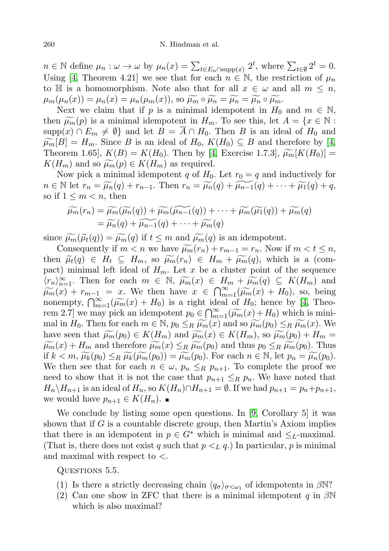$n \in \mathbb{N}$  define  $\mu_n : \omega \to \omega$  by  $\mu_n(x) = \sum_{t \in E_n \cap \text{supp}(x)} 2^t$ , where  $\sum_{t \in \emptyset} 2^t = 0$ . Using [\[4,](#page-18-1) Theorem 4.21] we see that for each  $n \in \mathbb{N}$ , the restriction of  $\mu_n$ to  $\mathbb H$  is a homomorphism. Note also that for all  $x \in \omega$  and all  $m \leq n$ ,  $\mu_m(\mu_n(x)) = \mu_n(x) = \mu_n(\mu_m(x)),$  so  $\widetilde{\mu_m} \circ \widetilde{\mu_n} = \widetilde{\mu_n} \circ \widetilde{\mu_m}.$ 

Next we claim that if p is a minimal idempotent in  $H_0$  and  $m \in \mathbb{N}$ , then  $\widetilde{\mu_m}(p)$  is a minimal idempotent in  $H_m$ . To see this, let  $A = \{x \in \mathbb{N} :$ supp $(x) \cap E_m \neq \emptyset$  and let  $B = \overline{A} \cap H_0$ . Then B is an ideal of  $H_0$  and  $\widetilde{\mu_m}[B] = H_m$ . Since B is an ideal of  $H_0, K(H_0) \subseteq B$  and therefore by [\[4,](#page-18-1) Theorem 1.65,  $K(B) = K(H_0)$ . Then by [\[4,](#page-18-1) Exercise 1.7.3],  $\widetilde{\mu_m}[K(H_0)] =$  $K(H_m)$  and so  $\widetilde{\mu_m}(p) \in K(H_m)$  as required.

Now pick a minimal idempotent q of  $H_0$ . Let  $r_0 = q$  and inductively for  $n \in \mathbb{N}$  let  $r_n = \widetilde{\mu_n}(q) + r_{n-1}$ . Then  $r_n = \widetilde{\mu_n}(q) + \widetilde{\mu_{n-1}}(q) + \cdots + \widetilde{\mu_1}(q) + q$ , so if  $1 \leq m < n$ , then

$$
\widetilde{\mu_m}(r_n) = \widetilde{\mu_m}(\widetilde{\mu_n}(q)) + \widetilde{\mu_m}(\widetilde{\mu_{n-1}}(q)) + \cdots + \widetilde{\mu_m}(\widetilde{\mu_1}(q)) + \widetilde{\mu_m}(q)
$$
  
=  $\widetilde{\mu_n}(q) + \widetilde{\mu_{n-1}}(q) + \cdots + \widetilde{\mu_m}(q)$ 

since  $\widetilde{\mu_m}(\widetilde{\mu}_t(q)) = \widetilde{\mu_m}(q)$  if  $t \leq m$  and  $\widetilde{\mu_m}(q)$  is an idempotent.

Consequently if  $m < n$  we have  $\widetilde{\mu_m}(r_n) + r_{m-1} = r_n$ . Now if  $m < t \leq n$ , then  $\widetilde{\mu}_t(q) \in H_t \subseteq H_m$ , so  $\widetilde{\mu_m}(r_n) \in H_m + \widetilde{\mu_m}(q)$ , which is a (compact) minimal left ideal of  $H_m$ . Let x be a cluster point of the sequence  $\langle r_n \rangle_{n=1}^{\infty}$ . Then for each  $m \in \mathbb{N}$ ,  $\widetilde{\mu_m}(x) \in H_m + \widetilde{\mu_m}(q) \subseteq K(H_m)$  and  $\widetilde{\mu_m}(x) \models r \Longrightarrow x$ . We then heve  $x \in \mathbb{O}^{\infty}$   $(\widetilde{\mu_m}(x) \models H_n)$  so being  $\widetilde{\mu_m}(x) + r_{m-1} = x$ . We then have  $x \in \bigcap_{m=1}^{\infty} (\widetilde{\mu_m}(x) + H_0)$ , so, being nonompty  $\bigcap_{m=1}^{\infty} (\widetilde{\mu_m}(x) + H_0)$  is a right ideal of  $H_0$ ; hence by [4]. Then nonempty,  $\bigcap_{m=1}^{\infty} (\widetilde{\mu_m}(x) + H_0)$  is a right ideal of  $H_0$ ; hence by [\[4,](#page-18-1) Theo-<br>rem 2.7 we may pick an idemptoant  $n \in \mathbb{C}^{\infty}$  ( $\widetilde{\mu_r}(x) + H_0$ ) which is minirem 2.7] we may pick an idempotent  $p_0 \in \bigcap_{m=1}^{\infty} (\widetilde{\mu}_m(x) + H_0)$  which is mini-<br>mal in  $H_2$ . Then for each  $m \in \mathbb{N}$ ,  $m \le n$ ,  $\widetilde{\mu}_m(x)$  and so  $\widetilde{\mu}_m(x) \le n$ ,  $\widetilde{\mu}_m(x)$ . We mal in  $H_0$ . Then for each  $m \in \mathbb{N}$ ,  $p_0 \leq_R \widetilde{\mu_m}(x)$  and so  $\widetilde{\mu_m}(p_0) \leq_R \widetilde{\mu_m}(x)$ . We have seen that  $\widetilde{\mu_m}(p_0) \in K(H_m)$  and  $\widetilde{\mu_m}(x) \in K(H_m)$ , so  $\widetilde{\mu_m}(p_0) + H_m =$  $\widetilde{\mu_m}(x) + H_m$  and therefore  $\widetilde{\mu_m}(x) \leq_R \widetilde{\mu_m}(p_0)$  and thus  $p_0 \leq_R \widetilde{\mu_m}(p_0)$ . Thus if  $k < m$ ,  $\widetilde{\mu_k}(p_0) \leq_R \widetilde{\mu_k}(\widetilde{\mu_m}(p_0)) = \widetilde{\mu_m}(p_0)$ . For each  $n \in \mathbb{N}$ , let  $p_n = \widetilde{\mu_n}(p_0)$ . We then see that for each  $n \in \omega$ ,  $p_n \leq_R p_{n+1}$ . To complete the proof we need to show that it is not the case that  $p_{n+1} \leq_R p_n$ . We have noted that  $H_n\backslash H_{n+1}$  is an ideal of  $H_n$ , so  $K(H_n)\cap H_{n+1}=\emptyset$ . If we had  $p_{n+1}=p_n+p_{n+1}$ , we would have  $p_{n+1} \in K(H_n)$ .

We conclude by listing some open questions. In [\[9,](#page-18-7) Corollary 5] it was shown that if  $G$  is a countable discrete group, then Martin's Axiom implies that there is an idempotent in  $p \in G^*$  which is minimal and  $\leq_L$ -maximal. (That is, there does not exist q such that  $p \lt_L q$ .) In particular, p is minimal and maximal with respect to  $\lt$ .

QUESTIONS 5.5.

- (1) Is there a strictly decreasing chain  $\langle q_{\sigma} \rangle_{\sigma \langle \omega_1}$  of idempotents in  $\beta N$ ?
- (2) Can one show in ZFC that there is a minimal idempotent q in  $\beta\mathbb{N}$ which is also maximal?